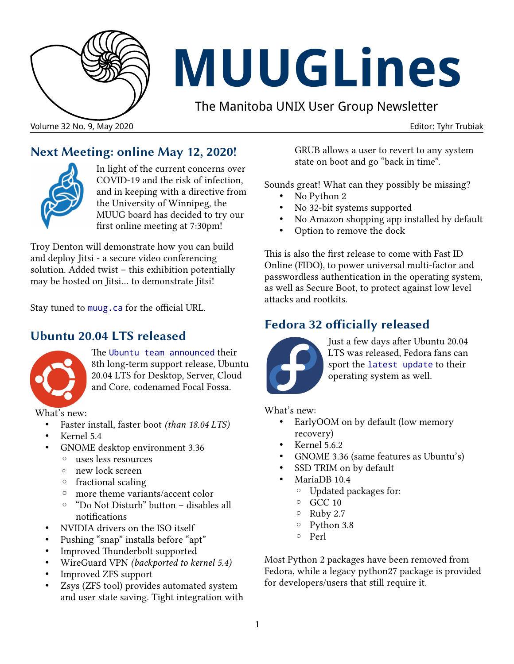

# **MUUGLines**

The Manitoba UNIX User Group Newsletter



In light of the current concerns over COVID-19 and the risk of infection, and in keeping with a directive from the University of Winnipeg, the MUUG board has decided to try our first online meeting at 7:30pm!

Troy Denton will demonstrate how you can build and deploy Jitsi - a secure video conferencing solution. Added twist – this exhibition potentially may be hosted on Jitsi... to demonstrate Jitsi!

**Next Meeting: online May 12, 2020!**

Stay tuned to [muug.ca](https://muug.ca/meetings/) for the official URL.

#### **Ubuntu 20.04 LTS released**



The [Ubuntu team announced](https://ubuntu.com/blog/ubuntu-20-04-lts-arrives) their 8th long-term support release, Ubuntu 20.04 LTS for Desktop, Server, Cloud and Core, codenamed Focal Fossa.

What's new:

- Faster install, faster boot *(than 18.04 LTS)*
- Kernel 5.4
- GNOME desktop environment 3.36
	- uses less resources
	- new lock screen
	- fractional scaling
	- more theme variants/accent color
	- "Do Not Disturb" button disables all notifications
- NVIDIA drivers on the ISO itself
- Pushing "snap" installs before "apt"
- Improved Thunderbolt supported
- WireGuard VPN *(backported to kernel 5.4)*
- Improved ZFS support
- Zsys (ZFS tool) provides automated system and user state saving. Tight integration with

GRUB allows a user to revert to any system state on boot and go "back in time".

Sounds great! What can they possibly be missing?

- No Python 2
- No 32-bit systems supported
- No Amazon shopping app installed by default
- Option to remove the dock

This is also the first release to come with Fast ID Online (FIDO), to power universal multi-factor and passwordless authentication in the operating system, as well as Secure Boot, to protect against low level attacks and rootkits.

#### **Fedora 32 officially released**



Just a few days after Ubuntu 20.04 LTS was released, Fedora fans can sport the [latest update](https://fedoramagazine.org/announcing-fedora-32/) to their operating system as well.

What's new:

- EarlyOOM on by default (low memory recovery)
- Kernel 5.6.2
- GNOME 3.36 (same features as Ubuntu's)
- SSD TRIM on by default
- MariaDB 10.4
	- Updated packages for:
	- GCC 10
	- Ruby 2.7
	- Python 3.8
	- Perl

Most Python 2 packages have been removed from Fedora, while a legacy python27 package is provided for developers/users that still require it.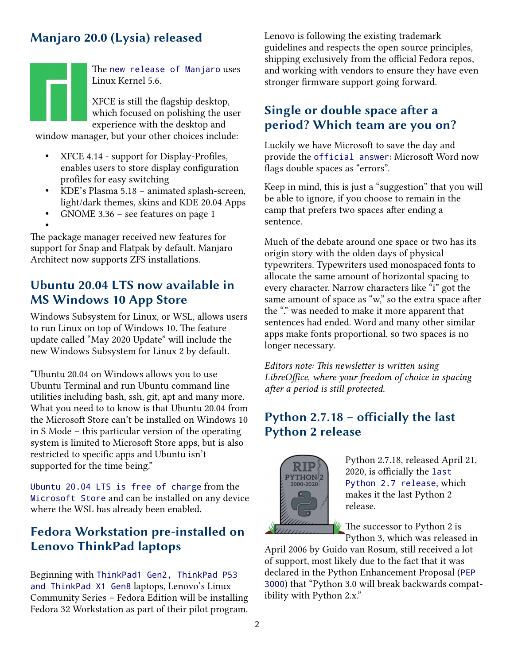## **Manjaro 20.0 (Lysia) released**

The [new release of Manjaro](https://forum.manjaro.org/t/manjaro-20-0-lysia-released/138633) uses Linux Kernel 5.6. XFCE is still the flagship desktop, which focused on polishing the user experience with the desktop and

window manager, but your other choices include:

- XFCE 4.14 support for Display-Profiles, enables users to store display configuration profiles for easy switching
- KDE's Plasma 5.18 animated splash-screen, light/dark themes, skins and KDE 20.04 Apps
- GNOME 3.36 see features on page 1

• The package manager received new features for support for Snap and Flatpak by default. Manjaro Architect now supports ZFS installations.

#### **Ubuntu 20.04 LTS now available in MS Windows 10 App Store**

Windows Subsystem for Linux, or WSL, allows users to run Linux on top of Windows 10. The feature update called "May 2020 Update" will include the new Windows Subsystem for Linux 2 by default.

"Ubuntu 20.04 on Windows allows you to use Ubuntu Terminal and run Ubuntu command line utilities including bash, ssh, git, apt and many more. What you need to to know is that Ubuntu 20.04 from the Microsoft Store can't be installed on Windows 10 in S Mode – this particular version of the operating system is limited to Microsoft Store apps, but is also restricted to specific apps and Ubuntu isn't supported for the time being."

[Ubuntu 20.04 LTS is free of charge](https://itsubuntu.com/ubuntu-20-04-lts-available-on-microsoft-store/) from the [Microsoft Store](https://www.microsoft.com/en-ca/p/ubuntu-2004-lts/9n6svws3rx71) and can be installed on any device where the WSL has already been enabled.

#### **Fedora Workstation pre-installed on Lenovo ThinkPad laptops**

Beginning with [ThinkPad1 Gen2, ThinkPad P53](https://fedoramagazine.org/coming-soon-fedora-on-lenovo-laptops/)  [and ThinkPad X1 Gen8](https://fedoramagazine.org/coming-soon-fedora-on-lenovo-laptops/) laptops, Lenovo's Linux Community Series – Fedora Edition will be installing Fedora 32 Workstation as part of their pilot program.

Lenovo is following the existing trademark guidelines and respects the open source principles, shipping exclusively from the official Fedora repos, and working with vendors to ensure they have even stronger firmware support going forward.

#### **Single or double space after a period? Which team are you on?**

Luckily we have Microsoft to save the day and provide the [official answer](https://www.theverge.com/2020/4/24/21234170/microsoft-word-two-spaces-period-error-correction-great-space-debate): Microsoft Word now flags double spaces as "errors".

Keep in mind, this is just a "suggestion" that you will be able to ignore, if you choose to remain in the camp that prefers two spaces after ending a sentence.

Much of the debate around one space or two has its origin story with the olden days of physical typewriters. Typewriters used monospaced fonts to allocate the same amount of horizontal spacing to every character. Narrow characters like "i" got the same amount of space as "w," so the extra space after the "." was needed to make it more apparent that sentences had ended. Word and many other similar apps make fonts proportional, so two spaces is no longer necessary.

*Editors note: This newsletter is written using LibreOffice, where your freedom of choice in spacing after a period is still protected.*

#### **Python 2.7.18 – officially the last Python 2 release**



Python 2.7.18, released April 21, 2020, is officially the [last](https://www.python.org/downloads/release/python-2718/)  [Python 2.7 release](https://www.python.org/downloads/release/python-2718/), which makes it the last Python 2 release.

The successor to Python 2 is Python 3, which was released in

April 2006 by Guido van Rosum, still received a lot of support, most likely due to the fact that it was declared in the Python Enhancement Proposal ([PEP](https://www.python.org/dev/peps/pep-3000/)  [3000](https://www.python.org/dev/peps/pep-3000/)) that "Python 3.0 will break backwards compatibility with Python 2.x."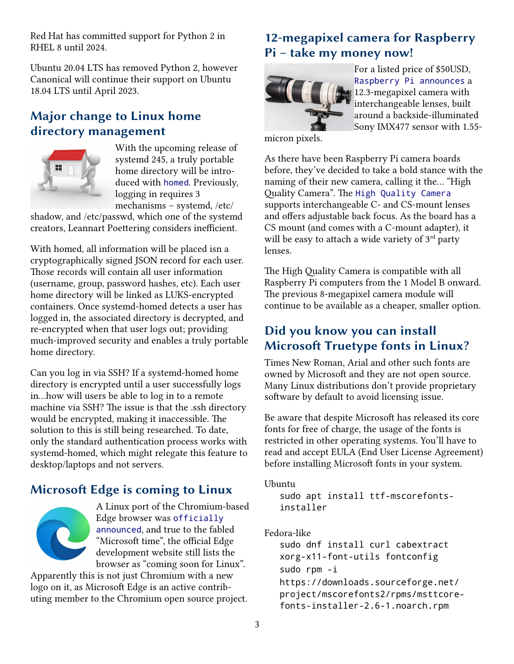Red Hat has committed support for Python 2 in RHEL 8 until 2024.

Ubuntu 20.04 LTS has removed Python 2, however Canonical will continue their support on Ubuntu 18.04 LTS until April 2023.

#### **Major change to Linux home directory management**



With the upcoming release of systemd 245, a truly portable home directory will be introduced with [homed](https://www.techrepublic.com/article/linux-home-directory-management-is-about-to-undergo-major-change/). Previously, logging in requires 3 mechanisms – systemd, /etc/

shadow, and /etc/passwd, which one of the systemd creators, Leannart Poettering considers inefficient.

With homed, all information will be placed isn a cryptographically signed JSON record for each user. Those records will contain all user information (username, group, password hashes, etc). Each user home directory will be linked as LUKS-encrypted containers. Once systemd-homed detects a user has logged in, the associated directory is decrypted, and re-encrypted when that user logs out; providing much-improved security and enables a truly portable home directory.

Can you log in via SSH? If a systemd-homed home directory is encrypted until a user successfully logs in...how will users be able to log in to a remote machine via SSH? The issue is that the .ssh directory would be encrypted, making it inaccessible. The solution to this is still being researched. To date, only the standard authentication process works with systemd-homed, which might relegate this feature to desktop/laptops and not servers.

## **Microsoft Edge is coming to Linux**



A Linux port of the Chromium-based Edge browser was [officially](https://www.omgubuntu.co.uk/2019/11/its-official-microsoft-edge-is-coming-to-linux)  [announced](https://www.omgubuntu.co.uk/2019/11/its-official-microsoft-edge-is-coming-to-linux), and true to the fabled "Microsoft time", the official Edge development website still lists the browser as "coming soon for Linux".

Apparently this is not just Chromium with a new logo on it, as Microsoft Edge is an active contributing member to the Chromium open source project.

#### **12-megapixel camera for Raspberry Pi – take my money now!**



For a listed price of \$50USD, [Raspberry Pi announces](https://www.raspberrypi.org/blog/new-product-raspberry-pi-high-quality-camera-on-sale-now-at-50/) a 12.3-megapixel camera with interchangeable lenses, built around a backside-illuminated Sony IMX477 sensor with 1.55-

micron pixels.

As there have been Raspberry Pi camera boards before, they've decided to take a bold stance with the naming of their new camera, calling it the... "High Quality Camera". The [High Quality Camera](https://www.theverge.com/2020/4/30/21242454/raspberry-pi-high-quality-camera-announced-specs-price) supports interchangeable C- and CS-mount lenses and offers adjustable back focus. As the board has a CS mount (and comes with a C-mount adapter), it will be easy to attach a wide variety of  $3<sup>rd</sup>$  party lenses.

The High Quality Camera is compatible with all Raspberry Pi computers from the 1 Model B onward. The previous 8-megapixel camera module will continue to be available as a cheaper, smaller option.

#### **Did you know you can install Microsoft Truetype fonts in Linux?**

Times New Roman, Arial and other such fonts are owned by Microsoft and they are not open source. Many Linux distributions don't provide proprietary software by default to avoid licensing issue.

Be aware that despite Microsoft has released its core fonts for free of charge, the usage of the fonts is restricted in other operating systems. You'll have to read and accept EULA (End User License Agreement) before installing Microsoft fonts in your system.

Ubuntu

sudo apt install ttf-mscorefontsinstaller

#### Fedora-like

sudo dnf install curl cabextract xorg-x11-font-utils fontconfig sudo rpm -i https://downloads.sourceforge.net/ project/mscorefonts2/rpms/msttcorefonts-installer-2.6-1.noarch.rpm